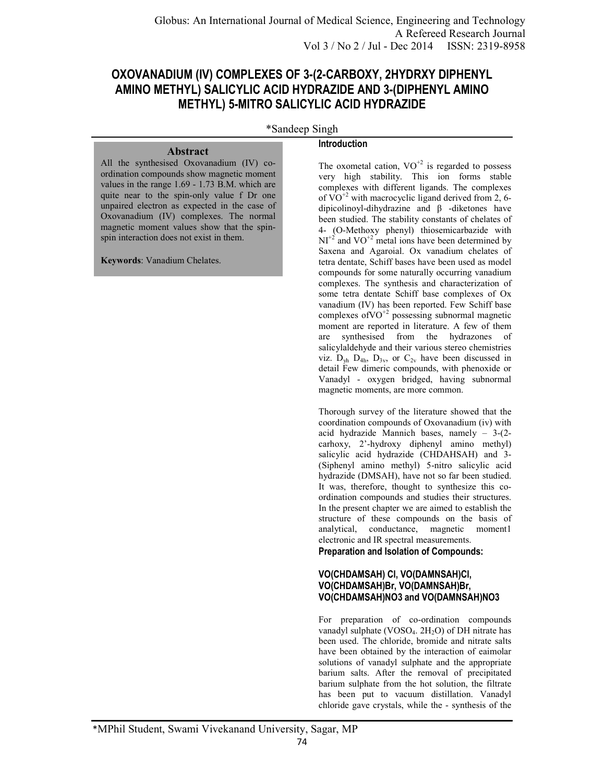# **OXOVANADIUM (IV) COMPLEXES OF 3-(2-CARBOXY, 2HYDRXY DIPHENYL AMINO METHYL) SALICYLIC ACID HYDRAZIDE AND 3-(DIPHENYL AMINO METHYL) 5-MITRO SALICYLIC ACID HYDRAZIDE**

\*Sandeep Singh

## **Abstract**

All the synthesised Oxovanadium (IV) coordination compounds show magnetic moment values in the range 1.69 - 1.73 B.M. which are quite near to the spin-only value f Dr one unpaired electron as expected in the case of Oxovanadium (IV) complexes. The normal magnetic moment values show that the spinspin interaction does not exist in them.

**Keywords**: Vanadium Chelates.

## **Introduction**

The oxometal cation,  $VO^{+2}$  is regarded to possess very high stability. This ion forms stable complexes with different ligands. The complexes of  $VO^{+2}$  with macrocyclic ligand derived from 2, 6dipicolinoyl-dihydrazine and β -diketones have been studied. The stability constants of chelates of 4- (O-Methoxy phenyl) thiosemicarbazide with  $NI^{2}$  and  $VO^{2}$  metal ions have been determined by Saxena and Agaroial. Ox vanadium chelates of tetra dentate, Schiff bases have been used as model compounds for some naturally occurring vanadium complexes. The synthesis and characterization of some tetra dentate Schiff base complexes of Ox vanadium (IV) has been reported. Few Schiff base complexes of VO $^{+2}$  possessing subnormal magnetic moment are reported in literature. A few of them are synthesised from the hydrazones of salicylaldehyde and their various stereo chemistries viz.  $D_{vh}$   $D_{4h}$ ,  $D_{3v}$ , or  $C_{2v}$  have been discussed in detail Few dimeric compounds, with phenoxide or Vanadyl - oxygen bridged, having subnormal magnetic moments, are more common.

Thorough survey of the literature showed that the coordination compounds of Oxovanadium (iv) with acid hydrazide Mannich bases, namely – 3-(2 carhoxy, 2'-hydroxy diphenyl amino methyl) salicylic acid hydrazide (CHDAHSAH) and 3- (Siphenyl amino methyl) 5-nitro salicylic acid hydrazide (DMSAH), have not so far been studied. It was, therefore, thought to synthesize this coordination compounds and studies their structures. In the present chapter we are aimed to establish the structure of these compounds on the basis of analytical, conductance, magnetic moment1 electronic and IR spectral measurements.

**Preparation and Isolation of Compounds:** 

## **VO(CHDAMSAH) Cl, VO(DAMNSAH)Cl, VO(CHDAMSAH)Br, VO(DAMNSAH)Br, VO(CHDAMSAH)NO3 and VO(DAMNSAH)NO3**

For preparation of co-ordination compounds vanadyl sulphate (VOSO<sub>4</sub>.  $2H_2O$ ) of DH nitrate has been used. The chloride, bromide and nitrate salts have been obtained by the interaction of eaimolar solutions of vanadyl sulphate and the appropriate barium salts. After the removal of precipitated barium sulphate from the hot solution, the filtrate has been put to vacuum distillation. Vanadyl chloride gave crystals, while the - synthesis of the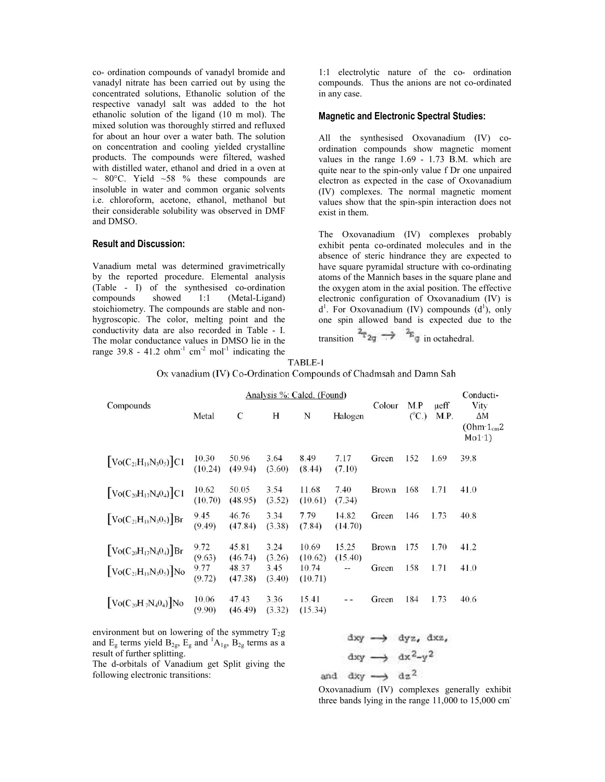co- ordination compounds of vanadyl bromide and vanadyl nitrate has been carried out by using the concentrated solutions, Ethanolic solution of the respective vanadyl salt was added to the hot ethanolic solution of the ligand (10 m mol). The mixed solution was thoroughly stirred and refluxed for about an hour over a water bath. The solution on concentration and cooling yielded crystalline products. The compounds were filtered, washed with distilled water, ethanol and dried in a oven at  $\sim$  80°C. Yield ~58 % these compounds are insoluble in water and common organic solvents i.e. chloroform, acetone, ethanol, methanol but their considerable solubility was observed in DMF and DMSO. the solution of the ligand (10 m mol). The ution was thoroughly stirred and refluxed an hour over a water bath. The solution ntration and cooling yielded crystalline The compounds were filtered, washed lled water, ethanol

#### **Result and Discussion:**

Vanadium metal was determined gravimetrically by the reported procedure. Elemental analysis (Table - I) of the synthesised co compounds showed 1:1 stoichiometry. The compounds are stable and nonhygroscopic. The color, melting point and the conductivity data are also recorded in Table - I. The molar conductance values in DMSO lie in the The molar conductance values in DMSO lie in the range  $39.8 - 41.2$  ohm<sup>-1</sup> cm<sup>-2</sup> mol<sup>-1</sup> indicating the (Metal-Ligand)

1:1 electrolytic nature of the co- ordination compounds. Thus the anions are not co-ordinated in any case.

#### **Magnetic and Electronic Spectral Studies:**

All the synthesised Oxovanadium (IV) coordination compounds show magnetic moment values in the range 1.69 - 1.73 B.M. which are quite near to the spin-only value f Dr one unpaired electron as expected in the case of Oxovanadium (IV) complexes. The normal magnetic moment values show that the spin-spin interaction does not exist in them. pin-only value f Dr one unpaired<br>ted in the case of Oxovanadium<br>The normal magnetic moment<br>the spin-spin interaction does not<br>um (IV) complexes probably<br>ordinated molecules and in the<br>hindrance they are expected to<br>nidal s

The Oxovanadium (IV) complexes probably exhibit penta co-ordinated molecules and in the absence of steric hindrance they are expected to have square pyramidal structure with co-ordinating atoms of the Mannich bases in the square plane and the oxygen atom in the axial position. The effective electronic configuration of Oxovanadium (IV) is  $d<sup>1</sup>$ . For Oxovanadium (IV) compounds  $(d<sup>1</sup>)$ , only one spin allowed band is expected due to the transition  $\frac{2\pi}{2}$   $\Rightarrow$   $\frac{2\pi}{3}$  in octahedral. the Mannich bases in the square planet atom in the axial position. The et configuration of Oxovanadium<br>
Dxovanadium (IV) compounds  $(d<sup>1</sup>)$ 

|                                                                   | $I$ ABLE- $I$ |  |
|-------------------------------------------------------------------|---------------|--|
| Ox vanadium (IV) Co-Ordination Compounds of Chadmsah and Damn Sah |               |  |

| Compounds                                         | Analysis %: Calcd. (Found) |                  |                |                  |                          |              |                          |                   | Conducti-                            |  |
|---------------------------------------------------|----------------------------|------------------|----------------|------------------|--------------------------|--------------|--------------------------|-------------------|--------------------------------------|--|
|                                                   | Metal                      | $\mathcal{C}$    | H              | N                | Halogen                  | Colour       | M.P<br>(C <sub>C</sub> ) | $\mu$ eff<br>M.P. | Vity<br>ΔΜ<br>$(Ohm-1cm2)$<br>Mo1.1) |  |
| $[\text{Vo}(C_{21}H_{18}N_30_5)]C1$               | 10.30<br>(10.24)           | 50.96<br>(49.94) | 3.64<br>(3.60) | 8.49<br>(8.44)   | 7.17<br>(7.10)           | Green        | 152                      | 1.69              | 39.8                                 |  |
| $[\text{Vo}(C_{20}H_{17}N_40_4)]C1$               | 10.62<br>(10.70)           | 50.05<br>(48.95) | 3.54<br>(3.52) | 11.68<br>(10.61) | 7.40<br>(7.34)           | <b>Brown</b> | 168                      | 1.71              | 41.0                                 |  |
| $\left[ \text{Vo}(C_{21}H_{18}N_3O_5) \right]$ Br | 9.45<br>(9.49)             | 46.76<br>(47.84) | 3.34<br>(3.38) | 7.79<br>(7.84)   | 14.82<br>(14.70)         | Green        | 146                      | 1.73              | 40.8                                 |  |
| $\left[ \text{Vo}(C_{20}H_{17}N_40_4) \right]$ Br | 9.72<br>(9.63)             | 45.81<br>(46.74) | 3.24<br>(3.26) | 10.69<br>(10.62) | 15.25<br>(15.40)         | <b>Brown</b> | 175                      | 1.70              | 41.2                                 |  |
| $\left[ \text{Vo}(C_{21}H_{18}N_3O_5) \right]$ No | 9.77<br>(9.72)             | 48.37<br>(47.38) | 3.45<br>(3.40) | 10.74<br>(10.71) | $\overline{\phantom{0}}$ | Green        | 158                      | 1.71              | 41.0                                 |  |
| $\left[ \text{Vo}(C_{20}H_7N_40_4) \right]$ No    | 10.06<br>(9.90)            | 47.43<br>(46.49) | 3.36<br>(3.32) | 15.41<br>(15.34) |                          | Green        | 184                      | 1.73              | 40.6                                 |  |

environment but on lowering of the symmetry  $T_2g$ and  $E_g$  terms yield  $B_{2g}$ ,  $E_g$  and  ${}^{1}A_{1g}$ ,  $B_{2g}$  terms as a result of further splitting.

The d-orbitals of Vanadium get Split giving the following electronic transitions: orbitals of Vanadium get Split giving the<br>
ng electronic transitions:<br>  $\frac{dx}{y} \rightarrow \frac{dz^2}{dx^2}$ <br>
Oxovanadium (IV) complexes generally exhibit

 $\text{d}xy \rightarrow \text{d}yz$ ,  $\text{d}xz$ ,

three bands lying in the range  $11,000$  to  $15,000$  cm<sup>-</sup>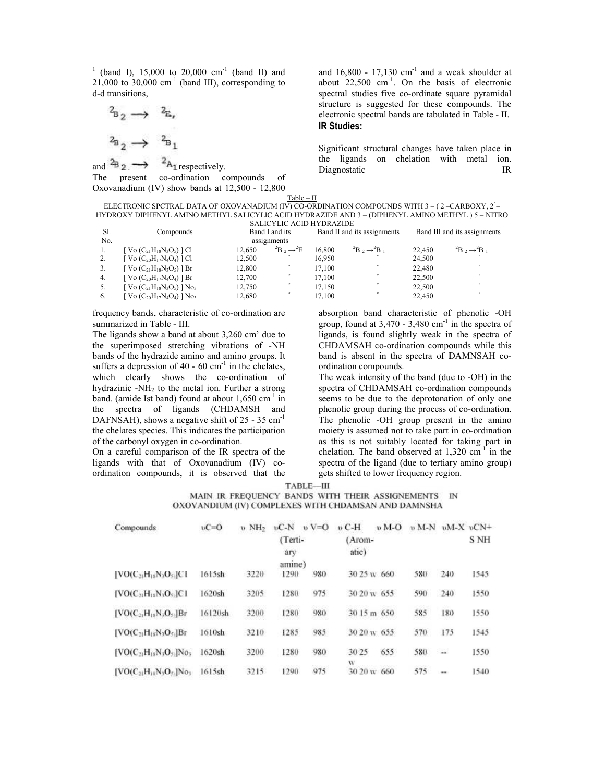$1$  (band I), 15,000 to 20,000 cm<sup>-1</sup> (band II) and  $21,000$  to  $30,000$  cm<sup>-1</sup> (band III), corresponding to d-d transitions,

$$
\begin{array}{ccc}\n^2 & & \rightarrow & \mathbb{Z}, \\
^2 & & \rightarrow & \mathbb{Z}, \\
^2 & & \rightarrow & \mathbb{Z}_1\n\end{array}
$$

and  $\overset{2}{\leftrightarrow}$   $\longrightarrow$   $\overset{2}{\leftrightarrow}$   $\overset{2}{\leftrightarrow}$  respectively. The present co-ordination compounds of Oxovanadium (IV) show bands at 12,500 corresponding to ordination at - 12,800 and  $16,800 - 17,130$  cm<sup>-1</sup> and a weak shoulder at about  $22,500$  cm<sup>-1</sup>. On the basis of electronic spectral studies five co-ordinate square pyramidal structure is suggested for these compounds. The electronic spectral bands are tabulated in Table **IR Studies:**  ordinate square pyramidal<br>for these compounds. The<br>are tabulated in Table - II.

Significant structural changes have taken place in the ligands on chelation with metal ion. Diagnostatic IR Significant structural changes have taken place in<br>the ligands on chelation with metal ion.<br>Diagnostatic IR

ELECTRONIC SPCTRAL DATA OF OXOVANADIUM (IV) CO-ORDINATION COMPOUNDS WITH 3 – ( 2 –CARBOXY, 2 – HYDROXY DIPHENYL AMINO METHYL SALICYLIC ACID HYDRAZIDE AND 3 – (DIPHENYL AMINO METHYL ) 5 Table – II – NITRO

| Sl. | Compounds                                         | <b>SALICYLIC ACID HYDRAZIDE</b><br>Band I and its |                                   |        | Band II and its assignments | Band III and its assignments |                                            |  |
|-----|---------------------------------------------------|---------------------------------------------------|-----------------------------------|--------|-----------------------------|------------------------------|--------------------------------------------|--|
| No. |                                                   |                                                   | assignments                       |        |                             |                              |                                            |  |
| -1. | [ Vo $(C_{21}H_{18}N_3O_5)$ ] Cl                  | 12.650                                            | ${}^{2}B$ , $\rightarrow {}^{2}E$ | 16.800 | $B_2 \rightarrow B_1$       | 22,450                       | ${}^2B$ , $\rightarrow {}^2B$ <sub>1</sub> |  |
| 2.  | $[$ Vo $(C_{20}H_{17}N_4O_4)$ $]$ Cl              | 12,500                                            |                                   | 16.950 |                             | 24,500                       |                                            |  |
| 3.  | $[Vol(C_{21}H_{18}N_3O_5)]$ Br                    | 12,800                                            |                                   | 17,100 |                             | 22,480                       |                                            |  |
| 4.  | $[Vol(C_{20}H_{17}N_4O_4)]$ Br                    | 12,700                                            |                                   | 17.100 |                             | 22.500                       |                                            |  |
| -5. | $[$ Vo $(C_{21}H_{18}N_3O_5)$ $]$ No <sub>3</sub> | 12,750                                            |                                   | 17,150 |                             | 22.500                       |                                            |  |
| 6.  | $[$ Vo $(C_{20}H_{17}N_4O_4)$ ] No <sub>3</sub>   | 12,680                                            |                                   | 17,100 |                             | 22.450                       |                                            |  |

frequency bands, characteristic of co-ordination are summarized in Table - III.

The ligands show a band at about 3,260 cm' due to frequency bands, characteristic of co-ordination are<br>summarized in Table - III.<br>The ligands show a band at about 3,260 cm' due to<br>the superimposed stretching vibrations of -NH bands of the hydrazide amino and amino groups. It suffers a depression of  $40 - 60$  cm<sup>-1</sup> in the chelates, which clearly shows the co-ordination of hydrazinic  $-NH<sub>2</sub>$  to the metal ion. Further a strong band. (amide Ist band) found at about  $1,650$  cm<sup>-1</sup> in the spectra of ligands (CHDAMSH and the spectra of ligands (CHDAMSH and DAFNSAH), shows a negative shift of  $25 - 35 \text{ cm}^{-1}$ the chelates species. This indicates the participation of the carbonyl oxygen in co-ordination. and amino group<br>cm<sup>-1</sup> in the chela<br>co-ordination

On a careful comparison of the IR spectra of the ligands with that of Oxovanadium (IV) co ordination compounds, it is observed that the ordination.<br>the IR spectra of the<br>pyanadium (IV) co-

group, found at  $3,470 - 3,480$  cm<sup>-1</sup> in the spectra of ligands, is found slightly weak in the spectra of CHDAMSAH co-ordination compounds while this band is absent in the spectra of DAMNSAH co ordination compounds. absorption band characteristic of phenolic -OH slightly weak in the spectra of<br>ordination compounds while this<br>the spectra of DAMNSAH co-

absorption band characteristic of phenolic<br>group, found at 3,470 - 3,480 cm<sup>-1</sup> in the spec<br>of -NH CHDAMSAH co-ordination compounds whil<br>roups. It band is absent in the spectra of DAMNSAI<br>chelates, ordination compounds.<br>t The weak intensity of the band (due to -OH) in the spectra of CHDAMSAH co-ordination compounds seems to be due to the deprotonation of only one spectra of CHDAMSAH co-ordination compounds<br>seems to be due to the deprotonation of only one<br>phenolic group during the process of co-ordination. The phenolic -OH group present in the amino The phenolic -OH group present in the amino moiety is assumed not to take part in co-ordination as this is not suitably located for taking part in chelation. The band observed at  $1,320$  cm<sup>-1</sup> in the spectra of the ligand (due to tertiary amino group) spectra of the ligand (due to tertiary a gets shifted to lower frequency region.

TABLE-III

MAIN IR FREQUENCY BANDS WITH THEIR ASSIGNEMENTS IN OXOVANDIUM (IV) COMPLEXES WITH CHDAMSAN AND DAMNSHA

| Compounds                         | $vC=0$  | <b>v</b> NH <sub>2</sub> | $vC-N$         | $v = 0$        | $v$ C-H          | $\n  b$ M-O | $\n  b M-N$ |      | $vM-X$ $vCN+$ |
|-----------------------------------|---------|--------------------------|----------------|----------------|------------------|-------------|-------------|------|---------------|
|                                   |         |                          | (Terti-<br>arv |                | (Arom-<br>atic)  |             |             |      | S NH          |
|                                   |         |                          | amine)         |                |                  |             |             |      |               |
| $[VO(C_{21}H_{18}N_3O_{53}]C1]$   | 1615sh  | 3220                     | 1290           | 980            | 30.25 w 660      |             | 580         | 240  | 1545          |
| $[VO(C21H18N2O5]C1$               | 1620sh  | 3205                     | 1280           | 975            | 30.20 w 655      |             | 590         | 240  | 1550          |
| $[VO(C_{21}H_{18}N_3O_{51}]Br$    | 16120sh | 3200                     | 1280           | 980            | 30 15 m 650      |             | 585         | 180  | 1550          |
| $[VO(C21H18N2O5]Br$               | 1610sh  | 3210                     | 1285           | 985            | 30 20 w 655      |             | 570         | 175  | 1545          |
| $[VO(C21H18N2O51]No3]$            | 1620sh  | 3200                     | 1280           | 980            | 30 25            | 655         | 580         | ш.   | 1550          |
| $[VO(C_{21}H_{18}N_2O_{51}]No_3]$ | 1615sh  | 3215                     | 1290           | 1002426<br>975 | w<br>30.20 w 660 |             | 575         |      | 1540          |
|                                   |         |                          |                |                |                  |             |             | $-1$ |               |